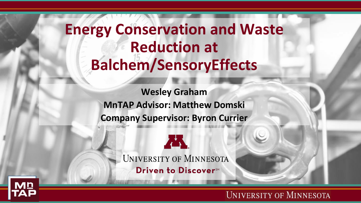## **Energy Conservation and Waste Reduction at Balchem/SensoryEffects**

**Wesley Graham MnTAP Advisor: Matthew Domski Company Supervisor: Byron Currier**



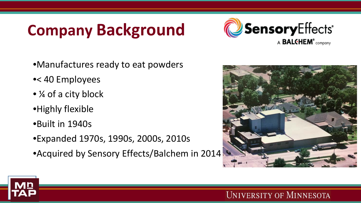## **Company Background**



- •Manufactures ready to eat powders
- •< 40 Employees
- ¼ of a city block
- •Highly flexible
- •Built in 1940s
- •Expanded 1970s, 1990s, 2000s, 2010s
- Acquired by Sensory Effects/Balchem in 2014

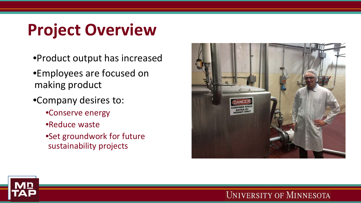# **Project Overview**

- •Product output has increased
- •Employees are focused on making product
- •Company desires to:
	- •Conserve energy
	- •Reduce waste
	- •Set groundwork for future sustainability projects



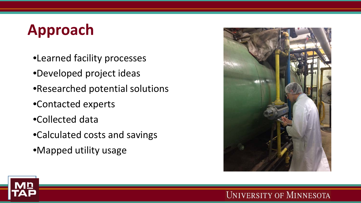## **Approach**

- •Learned facility processes
- •Developed project ideas
- •Researched potential solutions
- •Contacted experts
- •Collected data
- •Calculated costs and savings
- •Mapped utility usage



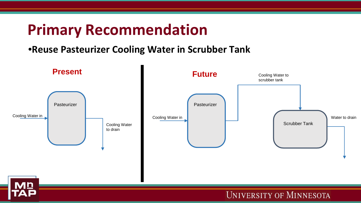### **Primary Recommendation**

### •**Reuse Pasteurizer Cooling Water in Scrubber Tank**

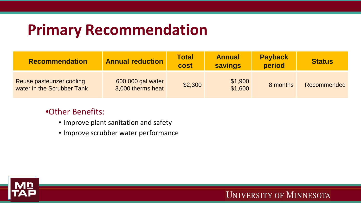## **Primary Recommendation**

| <b>Recommendation</b>                                   | <b>Annual reduction</b>                | <b>Total</b><br>cost | <b>Annual</b><br><b>savings</b> | <b>Payback</b><br>period | <b>Status</b> |
|---------------------------------------------------------|----------------------------------------|----------------------|---------------------------------|--------------------------|---------------|
| Reuse pasteurizer cooling<br>water in the Scrubber Tank | 600,000 gal water<br>3,000 therms heat | \$2,300              | \$1,900<br>\$1,600              | 8 months                 | Recommended   |

#### •Other Benefits:

- Improve plant sanitation and safety
- Improve scrubber water performance

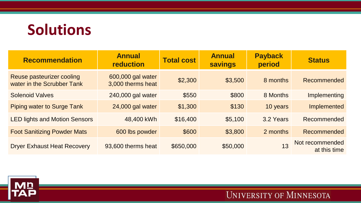## **Solutions**

| <b>Recommendation</b>                                   | <b>Annual</b><br>reduction             | <b>Total cost</b> | <b>Annual</b><br><b>savings</b> | <b>Payback</b><br>period | <b>Status</b>                   |
|---------------------------------------------------------|----------------------------------------|-------------------|---------------------------------|--------------------------|---------------------------------|
| Reuse pasteurizer cooling<br>water in the Scrubber Tank | 600,000 gal water<br>3,000 therms heat | \$2,300           | \$3,500                         | 8 months                 | Recommended                     |
| <b>Solenoid Valves</b>                                  | 240,000 gal water                      | \$550             | \$800                           | 8 Months                 | Implementing                    |
| <b>Piping water to Surge Tank</b>                       | 24,000 gal water                       | \$1,300           | \$130                           | 10 years                 | Implemented                     |
| <b>LED lights and Motion Sensors</b>                    | 48,400 kWh                             | \$16,400          | \$5,100                         | 3.2 Years                | Recommended                     |
| <b>Foot Sanitizing Powder Mats</b>                      | 600 lbs powder                         | \$600             | \$3,800                         | 2 months                 | Recommended                     |
| <b>Dryer Exhaust Heat Recovery</b>                      | 93,600 therms heat                     | \$650,000         | \$50,000                        | 13                       | Not recommended<br>at this time |